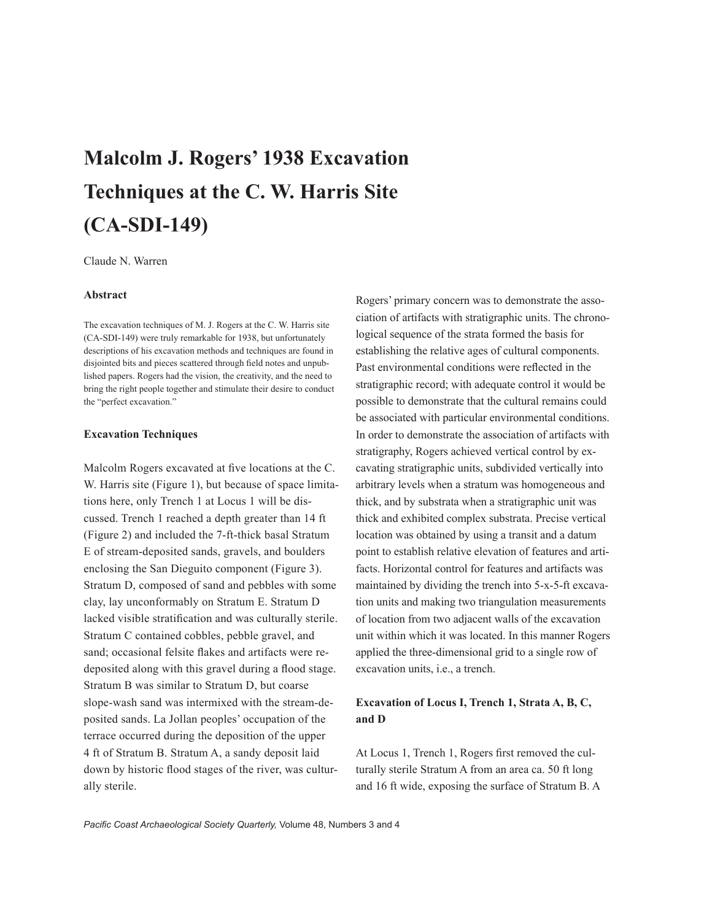# **Malcolm J. Rogers' 1938 Excavation Techniques at the C. W. Harris Site (CA-SDI-149)**

Claude N. Warren

#### **Abstract**

The excavation techniques of M. J. Rogers at the C. W. Harris site (CA-SDI-149) were truly remarkable for 1938, but unfortunately descriptions of his excavation methods and techniques are found in disjointed bits and pieces scattered through field notes and unpublished papers. Rogers had the vision, the creativity, and the need to bring the right people together and stimulate their desire to conduct the "perfect excavation."

#### **Excavation Techniques**

Malcolm Rogers excavated at five locations at the C. W. Harris site (Figure 1), but because of space limitations here, only Trench 1 at Locus 1 will be discussed. Trench 1 reached a depth greater than 14 ft (Figure 2) and included the 7-ft-thick basal Stratum E of stream-deposited sands, gravels, and boulders enclosing the San Dieguito component (Figure 3). Stratum D, composed of sand and pebbles with some clay, lay unconformably on Stratum E. Stratum D lacked visible stratification and was culturally sterile. Stratum C contained cobbles, pebble gravel, and sand; occasional felsite flakes and artifacts were redeposited along with this gravel during a flood stage. Stratum B was similar to Stratum D, but coarse slope-wash sand was intermixed with the stream-deposited sands. La Jollan peoples' occupation of the terrace occurred during the deposition of the upper 4 ft of Stratum B. Stratum A, a sandy deposit laid down by historic flood stages of the river, was culturally sterile.

Rogers' primary concern was to demonstrate the association of artifacts with stratigraphic units. The chronological sequence of the strata formed the basis for establishing the relative ages of cultural components. Past environmental conditions were reflected in the stratigraphic record; with adequate control it would be possible to demonstrate that the cultural remains could be associated with particular environmental conditions. In order to demonstrate the association of artifacts with stratigraphy, Rogers achieved vertical control by excavating stratigraphic units, subdivided vertically into arbitrary levels when a stratum was homogeneous and thick, and by substrata when a stratigraphic unit was thick and exhibited complex substrata. Precise vertical location was obtained by using a transit and a datum point to establish relative elevation of features and artifacts. Horizontal control for features and artifacts was maintained by dividing the trench into 5-x-5-ft excavation units and making two triangulation measurements of location from two adjacent walls of the excavation unit within which it was located. In this manner Rogers applied the three-dimensional grid to a single row of excavation units, i.e., a trench.

# **Excavation of Locus I, Trench 1, Strata A, B, C, and D**

At Locus 1, Trench 1, Rogers first removed the culturally sterile Stratum A from an area ca. 50 ft long and 16 ft wide, exposing the surface of Stratum B. A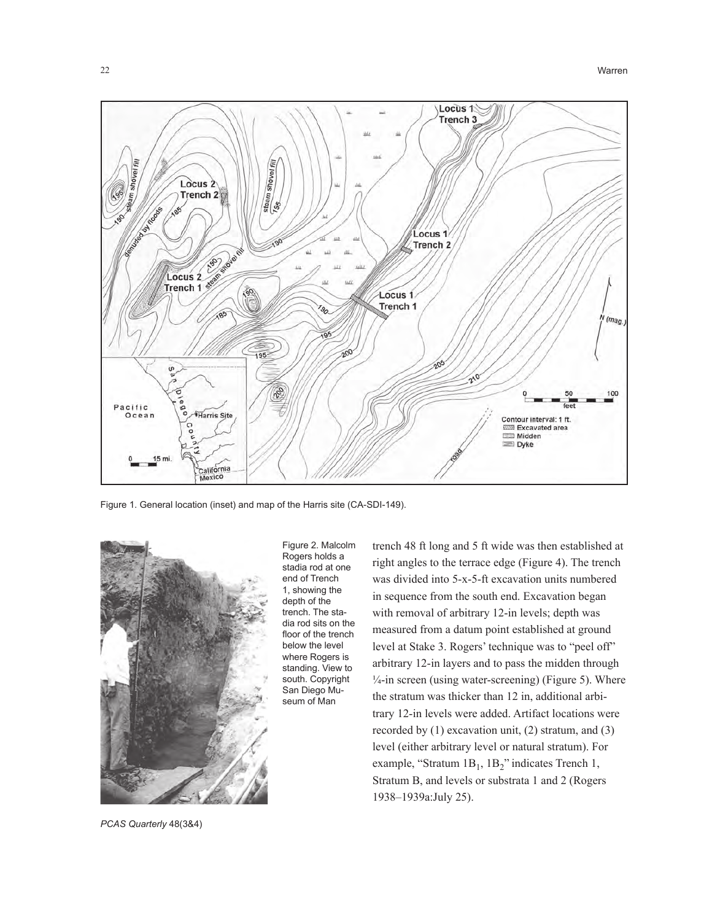

Figure 1. General location (inset) and map of the Harris site (CA-SDI-149).



Figure 2. Malcolm Rogers holds a stadia rod at one end of Trench 1, showing the depth of the trench. The stadia rod sits on the floor of the trench below the level where Rogers is standing. View to south. Copyright San Diego Museum of Man

trench 48 ft long and 5 ft wide was then established at right angles to the terrace edge (Figure 4). The trench was divided into 5-x-5-ft excavation units numbered in sequence from the south end. Excavation began with removal of arbitrary 12-in levels; depth was measured from a datum point established at ground level at Stake 3. Rogers' technique was to "peel off" arbitrary 12-in layers and to pass the midden through  $\frac{1}{4}$ -in screen (using water-screening) (Figure 5). Where the stratum was thicker than 12 in, additional arbitrary 12-in levels were added. Artifact locations were recorded by (1) excavation unit, (2) stratum, and (3) level (either arbitrary level or natural stratum). For example, "Stratum  $1B_1$ ,  $1B_2$ " indicates Trench 1, Stratum B, and levels or substrata 1 and 2 (Rogers 1938–1939a:July 25).

*PCAS Quarterly* 48(3&4)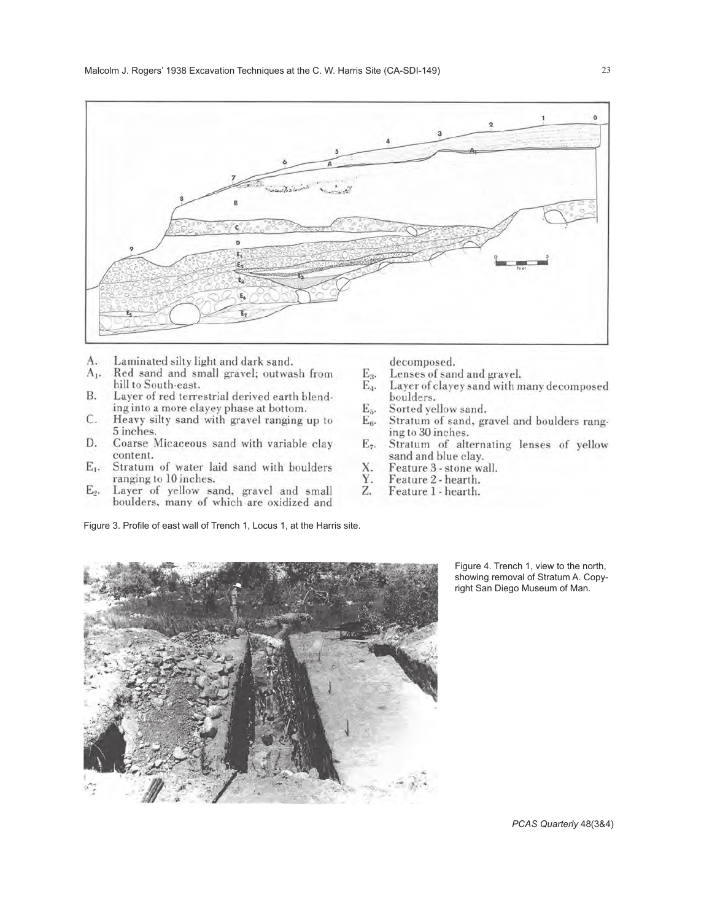

- Laminated silty light and dark sand. A.
- A<sub>1</sub>. Red sand and small gravel; outwash from hill to South-east.
- **B.** Layer of red terrestrial derived earth blending into a more clayey phase at bottom.
- C. Heavy silty sand with gravel ranging up to 5 inches.
- D. Coarse Micaceous sand with variable clay content.
- $E_1$ . Stratum of water laid sand with boulders ranging to 10 inches.
- Layer of yellow sand, gravel and small  $E_2$ . boulders, many of which are oxidized and

Figure 3. Profile of east wall of Trench 1, Locus 1, at the Harris site.

decomposed.

- $E_3$ . Lenses of sand and gravel.
- $E_4$ . Layer of clayey sand with many decomposed boulders.
- E<sub>5</sub>. Sorted yellow sand.
- $E_6$ . Stratum of sand, gravel and boulders ranging to 30 inches.
- $E_7$ . Stratum of alternating lenses of yellow sand and blue clay.
- X. Feature 3 - stone wall.
- Feature 2 hearth. Υ.
- Feature 1 hearth. Z.



Figure 4. Trench 1, view to the north, showing removal of Stratum A. Copyright San Diego Museum of Man.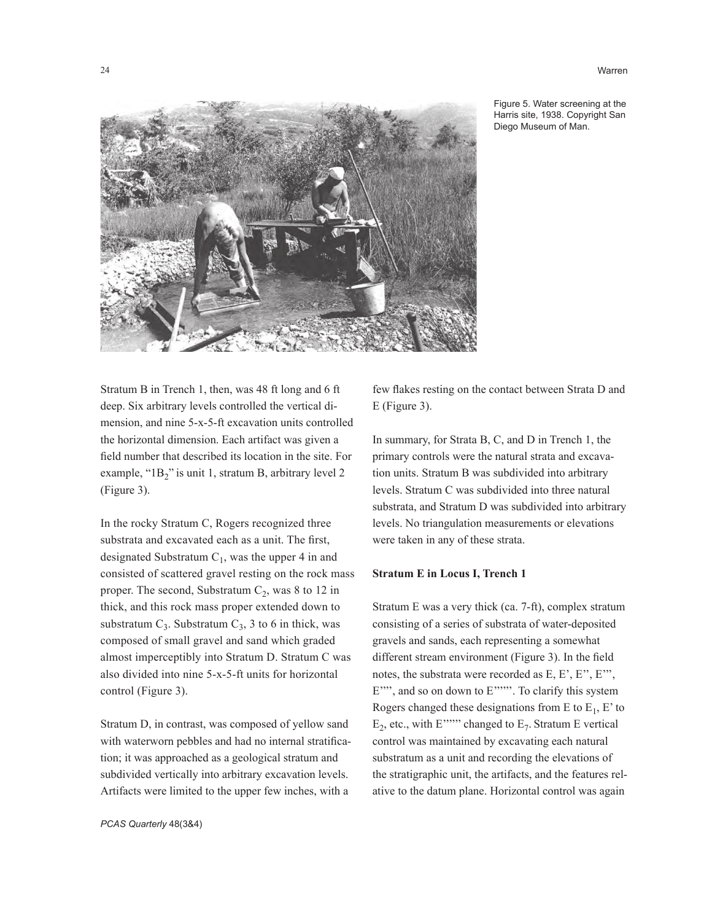24 Warren



Figure 5. Water screening at the Harris site, 1938. Copyright San Diego Museum of Man.

Stratum B in Trench 1, then, was 48 ft long and 6 ft deep. Six arbitrary levels controlled the vertical dimension, and nine 5-x-5-ft excavation units controlled the horizontal dimension. Each artifact was given a field number that described its location in the site. For example, "1B<sub>2</sub>" is unit 1, stratum B, arbitrary level 2 (Figure 3).

In the rocky Stratum C, Rogers recognized three substrata and excavated each as a unit. The first, designated Substratum  $C_1$ , was the upper 4 in and consisted of scattered gravel resting on the rock mass proper. The second, Substratum  $C_2$ , was 8 to 12 in thick, and this rock mass proper extended down to substratum  $C_3$ . Substratum  $C_3$ , 3 to 6 in thick, was composed of small gravel and sand which graded almost imperceptibly into Stratum D. Stratum C was also divided into nine 5-x-5-ft units for horizontal control (Figure 3).

Stratum D, in contrast, was composed of yellow sand with waterworn pebbles and had no internal stratification; it was approached as a geological stratum and subdivided vertically into arbitrary excavation levels. Artifacts were limited to the upper few inches, with a

few flakes resting on the contact between Strata D and E (Figure 3).

In summary, for Strata B, C, and D in Trench 1, the primary controls were the natural strata and excavation units. Stratum B was subdivided into arbitrary levels. Stratum C was subdivided into three natural substrata, and Stratum D was subdivided into arbitrary levels. No triangulation measurements or elevations were taken in any of these strata.

#### **Stratum E in Locus I, Trench 1**

Stratum E was a very thick (ca. 7-ft), complex stratum consisting of a series of substrata of water-deposited gravels and sands, each representing a somewhat different stream environment (Figure 3). In the field notes, the substrata were recorded as E, E', E'', E''', E"", and so on down to E"""". To clarify this system Rogers changed these designations from E to  $E_1$ , E' to  $E_2$ , etc., with E'''''' changed to  $E_7$ . Stratum E vertical control was maintained by excavating each natural substratum as a unit and recording the elevations of the stratigraphic unit, the artifacts, and the features relative to the datum plane. Horizontal control was again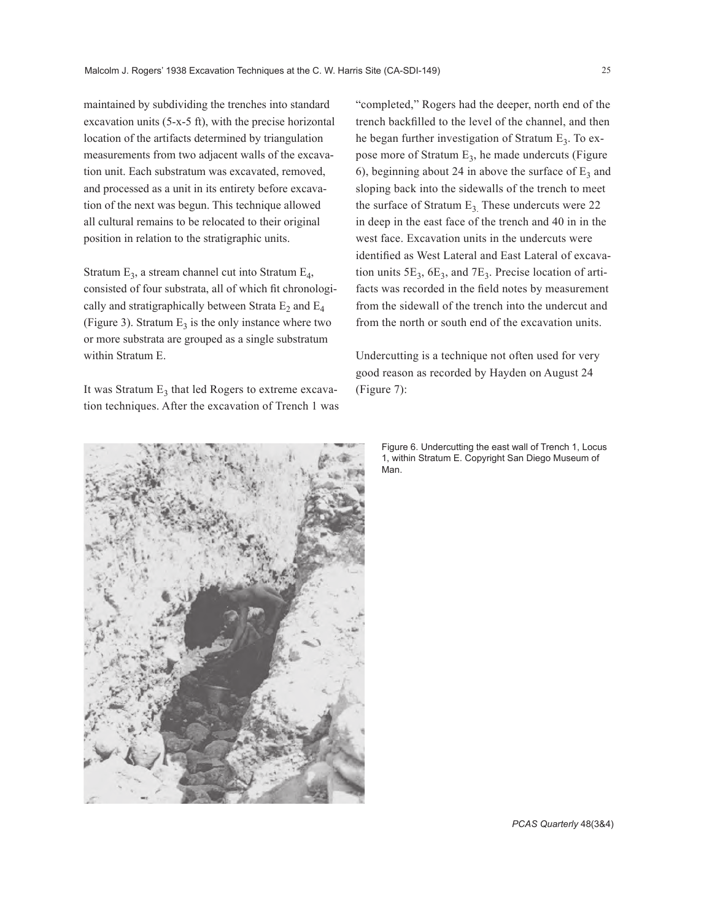maintained by subdividing the trenches into standard excavation units (5-x-5 ft), with the precise horizontal location of the artifacts determined by triangulation measurements from two adjacent walls of the excavation unit. Each substratum was excavated, removed, and processed as a unit in its entirety before excavation of the next was begun. This technique allowed all cultural remains to be relocated to their original position in relation to the stratigraphic units.

Stratum  $E_3$ , a stream channel cut into Stratum  $E_4$ , consisted of four substrata, all of which fit chronologically and stratigraphically between Strata  $E_2$  and  $E_4$ (Figure 3). Stratum  $E_3$  is the only instance where two or more substrata are grouped as a single substratum within Stratum E.

It was Stratum  $E_3$  that led Rogers to extreme excavation techniques. After the excavation of Trench 1 was "completed," Rogers had the deeper, north end of the trench backfilled to the level of the channel, and then he began further investigation of Stratum  $E_3$ . To expose more of Stratum  $E_3$ , he made undercuts (Figure 6), beginning about 24 in above the surface of  $E_3$  and sloping back into the sidewalls of the trench to meet the surface of Stratum  $E_3$ . These undercuts were 22. in deep in the east face of the trench and 40 in in the west face. Excavation units in the undercuts were identified as West Lateral and East Lateral of excavation units  $5E_3$ ,  $6E_3$ , and  $7E_3$ . Precise location of artifacts was recorded in the field notes by measurement from the sidewall of the trench into the undercut and from the north or south end of the excavation units.

Undercutting is a technique not often used for very good reason as recorded by Hayden on August 24 (Figure 7):

Figure 6. Undercutting the east wall of Trench 1, Locus 1, within Stratum E. Copyright San Diego Museum of Man.



*PCAS Quarterly* 48(3&4)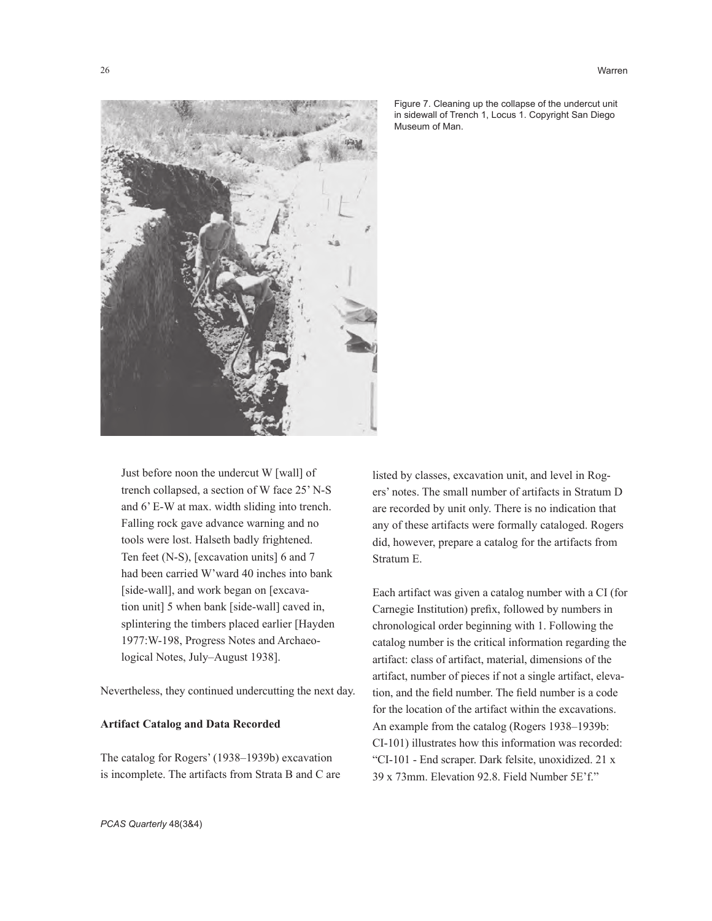



Figure 7. Cleaning up the collapse of the undercut unit in sidewall of Trench 1, Locus 1. Copyright San Diego Museum of Man.

Just before noon the undercut W [wall] of trench collapsed, a section of W face 25' N-S and 6' E-W at max. width sliding into trench. Falling rock gave advance warning and no tools were lost. Halseth badly frightened. Ten feet (N-S), [excavation units] 6 and 7 had been carried W'ward 40 inches into bank [side-wall], and work began on [excavation unit] 5 when bank [side-wall] caved in, splintering the timbers placed earlier [Hayden 1977:W-198, Progress Notes and Archaeological Notes, July–August 1938].

Nevertheless, they continued undercutting the next day.

#### **Artifact Catalog and Data Recorded**

The catalog for Rogers' (1938–1939b) excavation is incomplete. The artifacts from Strata B and C are listed by classes, excavation unit, and level in Rogers' notes. The small number of artifacts in Stratum D are recorded by unit only. There is no indication that any of these artifacts were formally cataloged. Rogers did, however, prepare a catalog for the artifacts from Stratum E.

Each artifact was given a catalog number with a CI (for Carnegie Institution) prefix, followed by numbers in chronological order beginning with 1. Following the catalog number is the critical information regarding the artifact: class of artifact, material, dimensions of the artifact, number of pieces if not a single artifact, elevation, and the field number. The field number is a code for the location of the artifact within the excavations. An example from the catalog (Rogers 1938–1939b: CI-101) illustrates how this information was recorded: "CI-101 - End scraper. Dark felsite, unoxidized. 21 x 39 x 73mm. Elevation 92.8. Field Number 5E'f."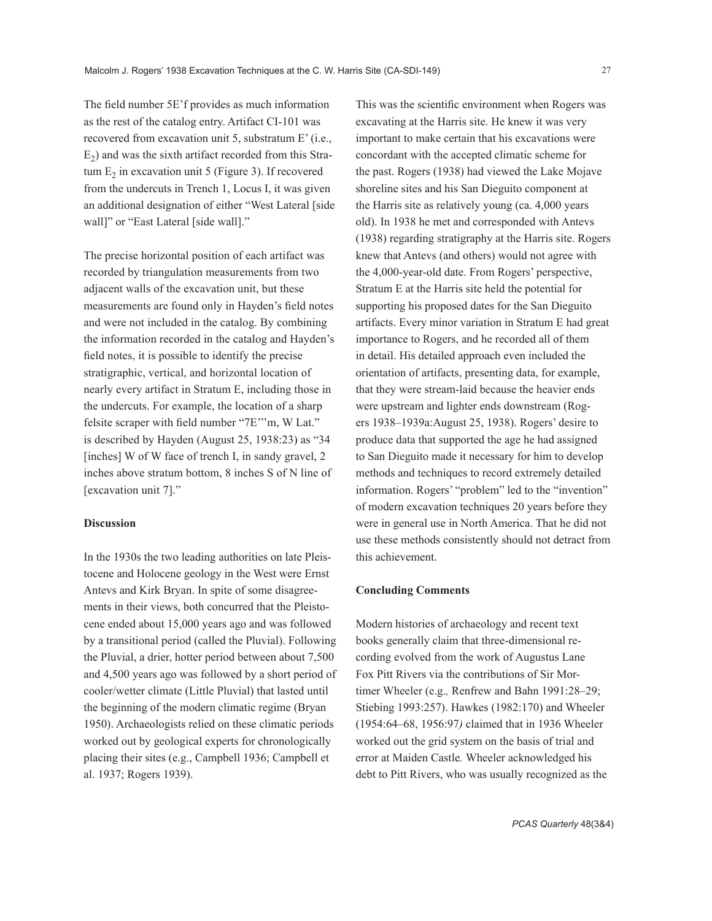The field number 5E'f provides as much information as the rest of the catalog entry. Artifact CI-101 was recovered from excavation unit 5, substratum E' (i.e.,  $E<sub>2</sub>$ ) and was the sixth artifact recorded from this Stratum  $E<sub>2</sub>$  in excavation unit 5 (Figure 3). If recovered from the undercuts in Trench 1, Locus I, it was given an additional designation of either "West Lateral [side wall]" or "East Lateral [side wall]."

The precise horizontal position of each artifact was recorded by triangulation measurements from two adjacent walls of the excavation unit, but these measurements are found only in Hayden's field notes and were not included in the catalog. By combining the information recorded in the catalog and Hayden's field notes, it is possible to identify the precise stratigraphic, vertical, and horizontal location of nearly every artifact in Stratum E, including those in the undercuts. For example, the location of a sharp felsite scraper with field number "7E'''m, W Lat." is described by Hayden (August 25, 1938:23) as "34 [inches] W of W face of trench I, in sandy gravel, 2 inches above stratum bottom, 8 inches S of N line of [excavation unit 7]."

#### **Discussion**

In the 1930s the two leading authorities on late Pleistocene and Holocene geology in the West were Ernst Antevs and Kirk Bryan. In spite of some disagreements in their views, both concurred that the Pleistocene ended about 15,000 years ago and was followed by a transitional period (called the Pluvial). Following the Pluvial, a drier, hotter period between about 7,500 and 4,500 years ago was followed by a short period of cooler/wetter climate (Little Pluvial) that lasted until the beginning of the modern climatic regime (Bryan 1950). Archaeologists relied on these climatic periods worked out by geological experts for chronologically placing their sites (e.g., Campbell 1936; Campbell et al. 1937; Rogers 1939).

This was the scientific environment when Rogers was excavating at the Harris site. He knew it was very important to make certain that his excavations were concordant with the accepted climatic scheme for the past. Rogers (1938) had viewed the Lake Mojave shoreline sites and his San Dieguito component at the Harris site as relatively young (ca. 4,000 years old). In 1938 he met and corresponded with Antevs (1938) regarding stratigraphy at the Harris site. Rogers knew that Antevs (and others) would not agree with the 4,000-year-old date. From Rogers' perspective, Stratum E at the Harris site held the potential for supporting his proposed dates for the San Dieguito artifacts. Every minor variation in Stratum E had great importance to Rogers, and he recorded all of them in detail. His detailed approach even included the orientation of artifacts, presenting data, for example, that they were stream-laid because the heavier ends were upstream and lighter ends downstream (Rogers 1938–1939a:August 25, 1938). Rogers' desire to produce data that supported the age he had assigned to San Dieguito made it necessary for him to develop methods and techniques to record extremely detailed information. Rogers' "problem" led to the "invention" of modern excavation techniques 20 years before they were in general use in North America. That he did not use these methods consistently should not detract from this achievement.

#### **Concluding Comments**

Modern histories of archaeology and recent text books generally claim that three-dimensional recording evolved from the work of Augustus Lane Fox Pitt Rivers via the contributions of Sir Mortimer Wheeler (e.g.*,* Renfrew and Bahn 1991:28–29; Stiebing 1993:257). Hawkes (1982:170) and Wheeler (1954:64–68, 1956:97*)* claimed that in 1936 Wheeler worked out the grid system on the basis of trial and error at Maiden Castle*.* Wheeler acknowledged his debt to Pitt Rivers, who was usually recognized as the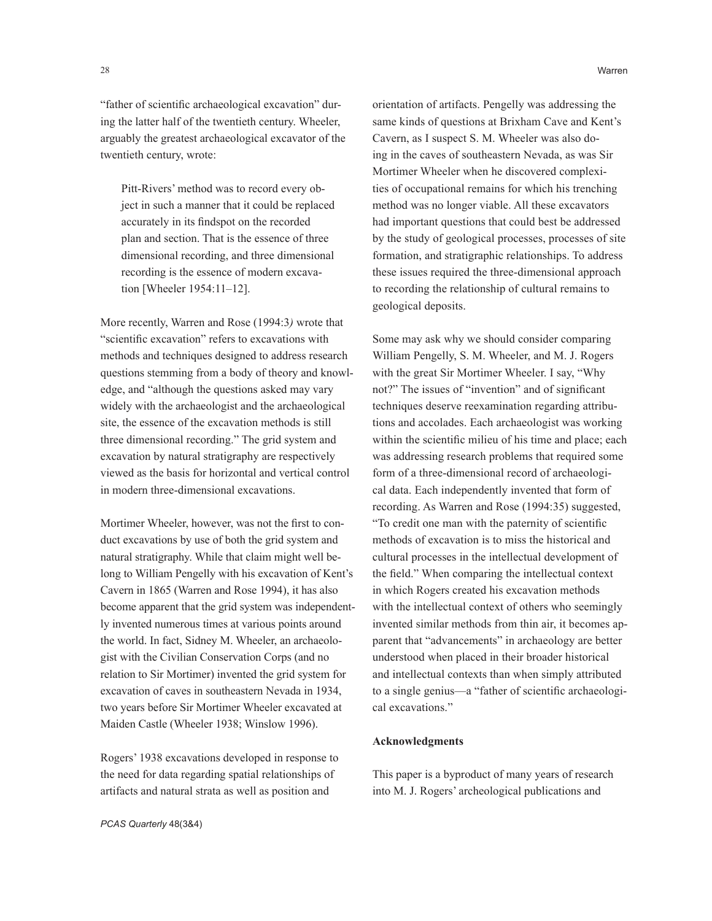"father of scientific archaeological excavation" during the latter half of the twentieth century. Wheeler, arguably the greatest archaeological excavator of the twentieth century, wrote:

Pitt-Rivers' method was to record every object in such a manner that it could be replaced accurately in its findspot on the recorded plan and section. That is the essence of three dimensional recording, and three dimensional recording is the essence of modern excavation [Wheeler 1954:11–12].

More recently, Warren and Rose (1994:3*)* wrote that "scientific excavation" refers to excavations with methods and techniques designed to address research questions stemming from a body of theory and knowledge, and "although the questions asked may vary widely with the archaeologist and the archaeological site, the essence of the excavation methods is still three dimensional recording." The grid system and excavation by natural stratigraphy are respectively viewed as the basis for horizontal and vertical control in modern three-dimensional excavations.

Mortimer Wheeler, however, was not the first to conduct excavations by use of both the grid system and natural stratigraphy. While that claim might well belong to William Pengelly with his excavation of Kent's Cavern in 1865 (Warren and Rose 1994), it has also become apparent that the grid system was independently invented numerous times at various points around the world. In fact, Sidney M. Wheeler, an archaeologist with the Civilian Conservation Corps (and no relation to Sir Mortimer) invented the grid system for excavation of caves in southeastern Nevada in 1934, two years before Sir Mortimer Wheeler excavated at Maiden Castle (Wheeler 1938; Winslow 1996).

Rogers' 1938 excavations developed in response to the need for data regarding spatial relationships of artifacts and natural strata as well as position and

orientation of artifacts. Pengelly was addressing the same kinds of questions at Brixham Cave and Kent's Cavern, as I suspect S. M. Wheeler was also doing in the caves of southeastern Nevada, as was Sir Mortimer Wheeler when he discovered complexities of occupational remains for which his trenching method was no longer viable. All these excavators had important questions that could best be addressed by the study of geological processes, processes of site formation, and stratigraphic relationships. To address these issues required the three-dimensional approach to recording the relationship of cultural remains to geological deposits.

Some may ask why we should consider comparing William Pengelly, S. M. Wheeler, and M. J. Rogers with the great Sir Mortimer Wheeler. I say, "Why not?" The issues of "invention" and of significant techniques deserve reexamination regarding attributions and accolades. Each archaeologist was working within the scientific milieu of his time and place; each was addressing research problems that required some form of a three-dimensional record of archaeological data. Each independently invented that form of recording. As Warren and Rose (1994:35) suggested, "To credit one man with the paternity of scientific methods of excavation is to miss the historical and cultural processes in the intellectual development of the field." When comparing the intellectual context in which Rogers created his excavation methods with the intellectual context of others who seemingly invented similar methods from thin air, it becomes apparent that "advancements" in archaeology are better understood when placed in their broader historical and intellectual contexts than when simply attributed to a single genius—a "father of scientific archaeological excavations."

#### **Acknowledgments**

This paper is a byproduct of many years of research into M. J. Rogers' archeological publications and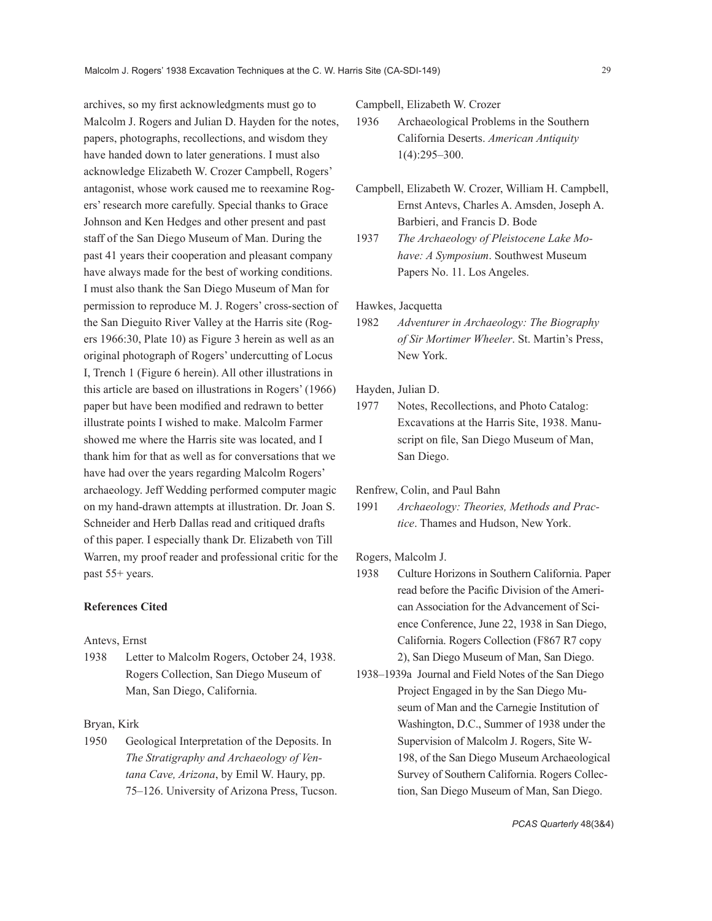archives, so my first acknowledgments must go to Malcolm J. Rogers and Julian D. Hayden for the notes, papers, photographs, recollections, and wisdom they have handed down to later generations. I must also acknowledge Elizabeth W. Crozer Campbell, Rogers' antagonist, whose work caused me to reexamine Rogers' research more carefully. Special thanks to Grace Johnson and Ken Hedges and other present and past staff of the San Diego Museum of Man. During the past 41 years their cooperation and pleasant company have always made for the best of working conditions. I must also thank the San Diego Museum of Man for permission to reproduce M. J. Rogers' cross-section of the San Dieguito River Valley at the Harris site (Rogers 1966:30, Plate 10) as Figure 3 herein as well as an original photograph of Rogers' undercutting of Locus I, Trench 1 (Figure 6 herein). All other illustrations in this article are based on illustrations in Rogers' (1966) paper but have been modified and redrawn to better illustrate points I wished to make. Malcolm Farmer showed me where the Harris site was located, and I thank him for that as well as for conversations that we have had over the years regarding Malcolm Rogers' archaeology. Jeff Wedding performed computer magic on my hand-drawn attempts at illustration. Dr. Joan S. Schneider and Herb Dallas read and critiqued drafts of this paper. I especially thank Dr. Elizabeth von Till Warren, my proof reader and professional critic for the past 55+ years.

#### **References Cited**

#### Antevs, Ernst

1938 Letter to Malcolm Rogers, October 24, 1938. Rogers Collection, San Diego Museum of Man, San Diego, California.

#### Bryan, Kirk

1950 Geological Interpretation of the Deposits. In *The Stratigraphy and Archaeology of Ventana Cave, Arizona*, by Emil W. Haury, pp. 75–126. University of Arizona Press, Tucson. Campbell, Elizabeth W. Crozer

- 1936 Archaeological Problems in the Southern California Deserts. *American Antiquity*  1(4):295–300.
- Campbell, Elizabeth W. Crozer, William H. Campbell, Ernst Antevs, Charles A. Amsden, Joseph A. Barbieri, and Francis D. Bode
- 1937 *The Archaeology of Pleistocene Lake Mohave: A Symposium*. Southwest Museum Papers No. 11. Los Angeles.

# Hawkes, Jacquetta

1982 *Adventurer in Archaeology: The Biography of Sir Mortimer Wheeler*. St. Martin's Press, New York.

#### Hayden, Julian D.

1977 Notes, Recollections, and Photo Catalog: Excavations at the Harris Site, 1938. Manuscript on file, San Diego Museum of Man, San Diego.

Renfrew, Colin, and Paul Bahn

1991 *Archaeology: Theories, Methods and Practice*. Thames and Hudson, New York.

# Rogers, Malcolm J.

- 1938 Culture Horizons in Southern California. Paper read before the Pacific Division of the American Association for the Advancement of Science Conference, June 22, 1938 in San Diego, California. Rogers Collection (F867 R7 copy 2), San Diego Museum of Man, San Diego.
- 1938–1939a Journal and Field Notes of the San Diego Project Engaged in by the San Diego Museum of Man and the Carnegie Institution of Washington, D.C., Summer of 1938 under the Supervision of Malcolm J. Rogers, Site W-198, of the San Diego Museum Archaeological Survey of Southern California. Rogers Collection, San Diego Museum of Man, San Diego.